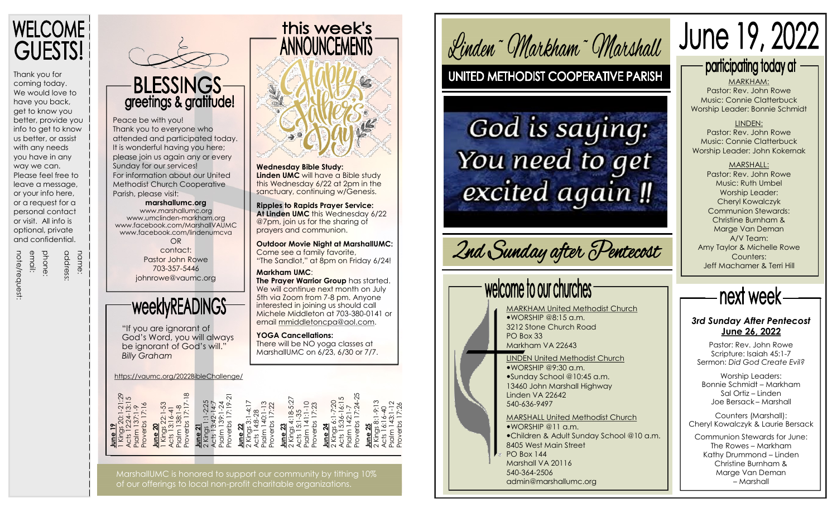

Thank you for coming today. We would love to have you back, get to know you better, provide you info to get to know us better, or assist with any needs you have in any way we can. Please feel free to leave a message, or your info here, or a request for a personal contact or visit. All info is optional, private and confidential.

address:<br>phone:<br>email:<br>note/request:

name:

name:

## **BLESSINGS** greetings & gratitude!

Peace be with you! Thank you to everyone who attended and participated today. It is wonderful having you here; please join us again any or every Sunday for our services! For information about our United Methodist Church Cooperative Parish, please visit:

> **marshallumc.org** [www.marshallumc.org](https://www.marshallumc.org/)

[www.umclinden](https://umclinden-markham.org/) -markham.org [www.facebook.com/MarshallVAUMC](https://www.facebook.com/MarshallVAUMC) [www.facebook.com/lindenumcva](https://www.facebook.com/lindenumcva)

OR contact: Pastor John Rowe 703 -357 -5446 johnrowe@vaumc.org

## weeklyREADINGS

"If you are ignorant of God's Word, you will always be ignorant of God's will." *Billy Graham*

<https://vaumc.org/2022BibleChallenge/>

|--|

MarshallUMC is honored to support our community by tithing 10% of our offerings to local non -profit charitable organizations.



**Wednesday Bible Study: Linden UMC** will have a Bible study

this Wednesday 6/22 at 2pm in the sanctuary, continuing w/Genesis.

**Ripples to Rapids Prayer Service: At Linden UMC** this Wednesday 6/22 @7pm, join us for the sharing of prayers and communion.

**Outdoor Movie Night at MarshallUMC:** Come see a family favorite, "The Sandlot," at 8pm on Friday 6/24!

**Markham UMC**: **The Prayer Warrior Group** has started. We will continue next month on July 5th via Zoom from 7 -8 pm. Anyone interested in joining us should call Michele Middleton at 703 -380 -0141 or email [mmiddletoncpa@aol.com.](mailto:mmiddletoncpa@aol.com)

**YOGA Cancellations:** There will be NO yoga classes at MarshallUMC on 6/23, 6/30 or 7/7. Linden<sup>~</sup> Markham<sup>~</sup> Marshall

## UNITED METHODIST COOPERATIVE PARISH

# God is saying: You need to get excited again!

# 2nd Sunday after Pentecost

# welcome to our churches

MARKHAM United Methodist Church  $WORSHIP @8:15 \text{ q.m.}$ 3212 Stone Church Road PO Box 33 Markham VA 22643

LINDEN United Methodist Church  $WORSHIP @ 9:30$  a.m. Sunday School @10:45 a.m. 13460 John Marshall Highway Linden VA 22642 540 -636 -9497

MARSHALL United Methodist Church WORSHIP @11 a.m. Children & Adult Sunday School @10 a.m. 8405 West Main Street PO Box 144 Marshall VA 20116 540 -364 -2506 admin@marshallumc.org

participating today at MARKHAM: Pastor: Rev. John Rowe Music: Connie Clatterbuck

June 19, 2022

LINDEN: Pastor: Rev. John Rowe Music: Connie Clatterbuck Worship Leader: John Kokernak

Worship Leader: Bonnie Schmidt

MARSHALL: Pastor: Rev. John Rowe Music: Ruth Umbel Worship Leader: Cheryl Kowalczyk Communion Stewards: Christine Burnham & Marge Van Deman A/V Team: Amy Taylor & Michelle Rowe Counters: Jeff Machamer & Terri Hill



*3rd Sunday After Pentecost* **June 26, 2022**

Pastor: Rev. John Rowe Scripture: Isaiah 45:1 - 7 Sermon: *Did God Create Evil?*

Worship Leaders: Bonnie Schmidt – Markham Sal Ortiz – Linden Joe Bersack – Marshall

Counters (Marshall): Cheryl Kowalczyk & Laurie Bersack

Communion Stewards for June: The Rowes – Markham Kathy Drummond – Linden Christine Burnham & Marge Van Deman – Marshall